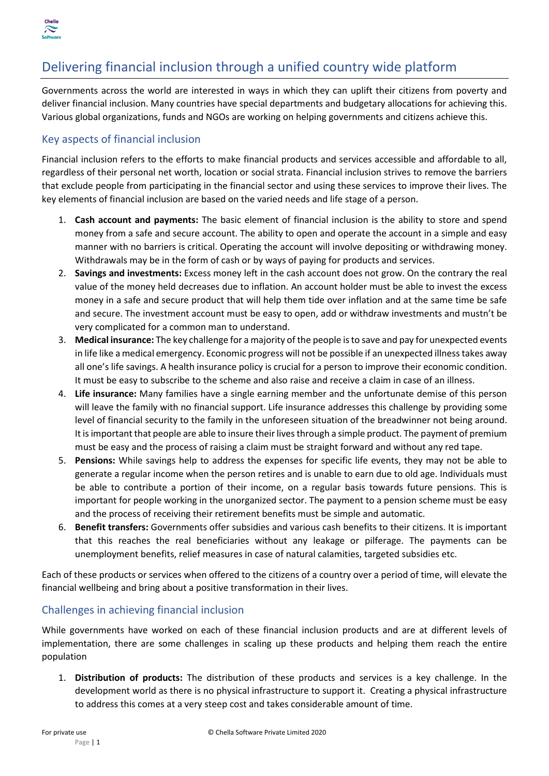

## Delivering financial inclusion through a unified country wide platform

Governments across the world are interested in ways in which they can uplift their citizens from poverty and deliver financial inclusion. Many countries have special departments and budgetary allocations for achieving this. Various global organizations, funds and NGOs are working on helping governments and citizens achieve this.

## Key aspects of financial inclusion

Financial inclusion refers to the efforts to make financial products and services accessible and affordable to all, regardless of their personal net worth, location or social strata. Financial inclusion strives to remove the barriers that exclude people from participating in the financial sector and using these services to improve their lives. The key elements of financial inclusion are based on the varied needs and life stage of a person.

- 1. **Cash account and payments:** The basic element of financial inclusion is the ability to store and spend money from a safe and secure account. The ability to open and operate the account in a simple and easy manner with no barriers is critical. Operating the account will involve depositing or withdrawing money. Withdrawals may be in the form of cash or by ways of paying for products and services.
- 2. **Savings and investments:** Excess money left in the cash account does not grow. On the contrary the real value of the money held decreases due to inflation. An account holder must be able to invest the excess money in a safe and secure product that will help them tide over inflation and at the same time be safe and secure. The investment account must be easy to open, add or withdraw investments and mustn't be very complicated for a common man to understand.
- 3. **Medical insurance:** The key challenge for a majority of the people is to save and pay for unexpected events in life like a medical emergency. Economic progress will not be possible if an unexpected illness takes away all one's life savings. A health insurance policy is crucial for a person to improve their economic condition. It must be easy to subscribe to the scheme and also raise and receive a claim in case of an illness.
- 4. **Life insurance:** Many families have a single earning member and the unfortunate demise of this person will leave the family with no financial support. Life insurance addresses this challenge by providing some level of financial security to the family in the unforeseen situation of the breadwinner not being around. It is important that people are able to insure their lives through a simple product. The payment of premium must be easy and the process of raising a claim must be straight forward and without any red tape.
- 5. **Pensions:** While savings help to address the expenses for specific life events, they may not be able to generate a regular income when the person retires and is unable to earn due to old age. Individuals must be able to contribute a portion of their income, on a regular basis towards future pensions. This is important for people working in the unorganized sector. The payment to a pension scheme must be easy and the process of receiving their retirement benefits must be simple and automatic.
- 6. **Benefit transfers:** Governments offer subsidies and various cash benefits to their citizens. It is important that this reaches the real beneficiaries without any leakage or pilferage. The payments can be unemployment benefits, relief measures in case of natural calamities, targeted subsidies etc.

Each of these products or services when offered to the citizens of a country over a period of time, will elevate the financial wellbeing and bring about a positive transformation in their lives.

### Challenges in achieving financial inclusion

While governments have worked on each of these financial inclusion products and are at different levels of implementation, there are some challenges in scaling up these products and helping them reach the entire population

1. **Distribution of products:** The distribution of these products and services is a key challenge. In the development world as there is no physical infrastructure to support it. Creating a physical infrastructure to address this comes at a very steep cost and takes considerable amount of time.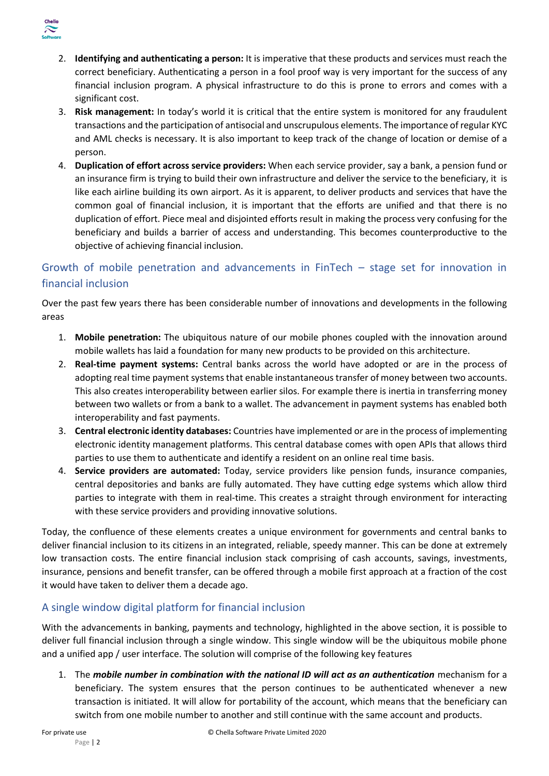

- 2. **Identifying and authenticating a person:** It is imperative that these products and services must reach the correct beneficiary. Authenticating a person in a fool proof way is very important for the success of any financial inclusion program. A physical infrastructure to do this is prone to errors and comes with a significant cost.
- 3. **Risk management:** In today's world it is critical that the entire system is monitored for any fraudulent transactions and the participation of antisocial and unscrupulous elements. The importance of regular KYC and AML checks is necessary. It is also important to keep track of the change of location or demise of a person.
- 4. **Duplication of effort across service providers:** When each service provider, say a bank, a pension fund or an insurance firm is trying to build their own infrastructure and deliver the service to the beneficiary, it is like each airline building its own airport. As it is apparent, to deliver products and services that have the common goal of financial inclusion, it is important that the efforts are unified and that there is no duplication of effort. Piece meal and disjointed efforts result in making the process very confusing for the beneficiary and builds a barrier of access and understanding. This becomes counterproductive to the objective of achieving financial inclusion.

## Growth of mobile penetration and advancements in FinTech – stage set for innovation in financial inclusion

Over the past few years there has been considerable number of innovations and developments in the following areas

- 1. **Mobile penetration:** The ubiquitous nature of our mobile phones coupled with the innovation around mobile wallets has laid a foundation for many new products to be provided on this architecture.
- 2. **Real-time payment systems:** Central banks across the world have adopted or are in the process of adopting real time payment systems that enable instantaneous transfer of money between two accounts. This also creates interoperability between earlier silos. For example there is inertia in transferring money between two wallets or from a bank to a wallet. The advancement in payment systems has enabled both interoperability and fast payments.
- 3. **Central electronic identity databases:** Countries have implemented or are in the process of implementing electronic identity management platforms. This central database comes with open APIs that allows third parties to use them to authenticate and identify a resident on an online real time basis.
- 4. **Service providers are automated:** Today, service providers like pension funds, insurance companies, central depositories and banks are fully automated. They have cutting edge systems which allow third parties to integrate with them in real-time. This creates a straight through environment for interacting with these service providers and providing innovative solutions.

Today, the confluence of these elements creates a unique environment for governments and central banks to deliver financial inclusion to its citizens in an integrated, reliable, speedy manner. This can be done at extremely low transaction costs. The entire financial inclusion stack comprising of cash accounts, savings, investments, insurance, pensions and benefit transfer, can be offered through a mobile first approach at a fraction of the cost it would have taken to deliver them a decade ago.

## A single window digital platform for financial inclusion

With the advancements in banking, payments and technology, highlighted in the above section, it is possible to deliver full financial inclusion through a single window. This single window will be the ubiquitous mobile phone and a unified app / user interface. The solution will comprise of the following key features

1. The *mobile number in combination with the national ID will act as an authentication* mechanism for a beneficiary. The system ensures that the person continues to be authenticated whenever a new transaction is initiated. It will allow for portability of the account, which means that the beneficiary can switch from one mobile number to another and still continue with the same account and products.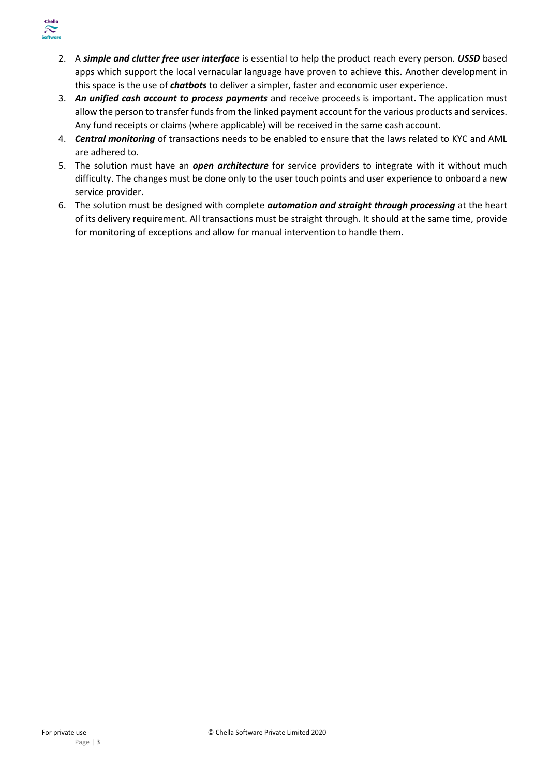

- 2. A *simple and clutter free user interface* is essential to help the product reach every person. *USSD* based apps which support the local vernacular language have proven to achieve this. Another development in this space is the use of *chatbots* to deliver a simpler, faster and economic user experience.
- 3. *An unified cash account to process payments* and receive proceeds is important. The application must allow the person to transfer funds from the linked payment account for the various products and services. Any fund receipts or claims (where applicable) will be received in the same cash account.
- 4. *Central monitoring* of transactions needs to be enabled to ensure that the laws related to KYC and AML are adhered to.
- 5. The solution must have an *open architecture* for service providers to integrate with it without much difficulty. The changes must be done only to the user touch points and user experience to onboard a new service provider.
- 6. The solution must be designed with complete *automation and straight through processing* at the heart of its delivery requirement. All transactions must be straight through. It should at the same time, provide for monitoring of exceptions and allow for manual intervention to handle them.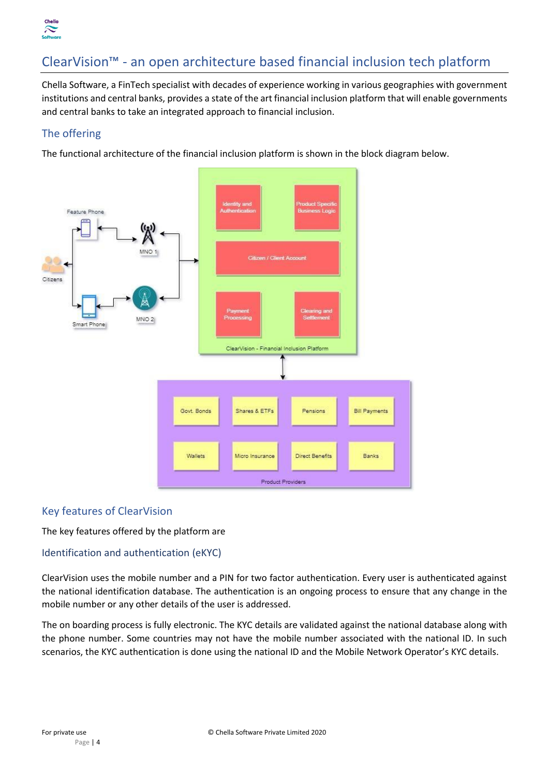

# ClearVision™ - an open architecture based financial inclusion tech platform

Chella Software, a FinTech specialist with decades of experience working in various geographies with government institutions and central banks, provides a state of the art financial inclusion platform that will enable governments and central banks to take an integrated approach to financial inclusion.

## The offering

The functional architecture of the financial inclusion platform is shown in the block diagram below.



### Key features of ClearVision

The key features offered by the platform are

#### Identification and authentication (eKYC)

ClearVision uses the mobile number and a PIN for two factor authentication. Every user is authenticated against the national identification database. The authentication is an ongoing process to ensure that any change in the mobile number or any other details of the user is addressed.

The on boarding process is fully electronic. The KYC details are validated against the national database along with the phone number. Some countries may not have the mobile number associated with the national ID. In such scenarios, the KYC authentication is done using the national ID and the Mobile Network Operator's KYC details.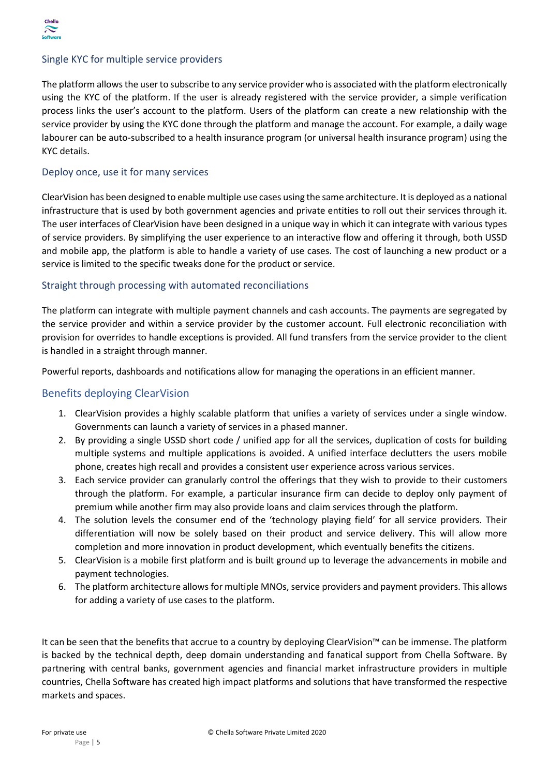

#### Single KYC for multiple service providers

The platform allows the user to subscribe to any service provider who is associated with the platform electronically using the KYC of the platform. If the user is already registered with the service provider, a simple verification process links the user's account to the platform. Users of the platform can create a new relationship with the service provider by using the KYC done through the platform and manage the account. For example, a daily wage labourer can be auto-subscribed to a health insurance program (or universal health insurance program) using the KYC details.

#### Deploy once, use it for many services

ClearVision has been designed to enable multiple use cases using the same architecture. It is deployed as a national infrastructure that is used by both government agencies and private entities to roll out their services through it. The user interfaces of ClearVision have been designed in a unique way in which it can integrate with various types of service providers. By simplifying the user experience to an interactive flow and offering it through, both USSD and mobile app, the platform is able to handle a variety of use cases. The cost of launching a new product or a service is limited to the specific tweaks done for the product or service.

#### Straight through processing with automated reconciliations

The platform can integrate with multiple payment channels and cash accounts. The payments are segregated by the service provider and within a service provider by the customer account. Full electronic reconciliation with provision for overrides to handle exceptions is provided. All fund transfers from the service provider to the client is handled in a straight through manner.

Powerful reports, dashboards and notifications allow for managing the operations in an efficient manner.

#### Benefits deploying ClearVision

- 1. ClearVision provides a highly scalable platform that unifies a variety of services under a single window. Governments can launch a variety of services in a phased manner.
- 2. By providing a single USSD short code / unified app for all the services, duplication of costs for building multiple systems and multiple applications is avoided. A unified interface declutters the users mobile phone, creates high recall and provides a consistent user experience across various services.
- 3. Each service provider can granularly control the offerings that they wish to provide to their customers through the platform. For example, a particular insurance firm can decide to deploy only payment of premium while another firm may also provide loans and claim services through the platform.
- 4. The solution levels the consumer end of the 'technology playing field' for all service providers. Their differentiation will now be solely based on their product and service delivery. This will allow more completion and more innovation in product development, which eventually benefits the citizens.
- 5. ClearVision is a mobile first platform and is built ground up to leverage the advancements in mobile and payment technologies.
- 6. The platform architecture allows for multiple MNOs, service providers and payment providers. This allows for adding a variety of use cases to the platform.

It can be seen that the benefits that accrue to a country by deploying ClearVision™ can be immense. The platform is backed by the technical depth, deep domain understanding and fanatical support from Chella Software. By partnering with central banks, government agencies and financial market infrastructure providers in multiple countries, Chella Software has created high impact platforms and solutions that have transformed the respective markets and spaces.